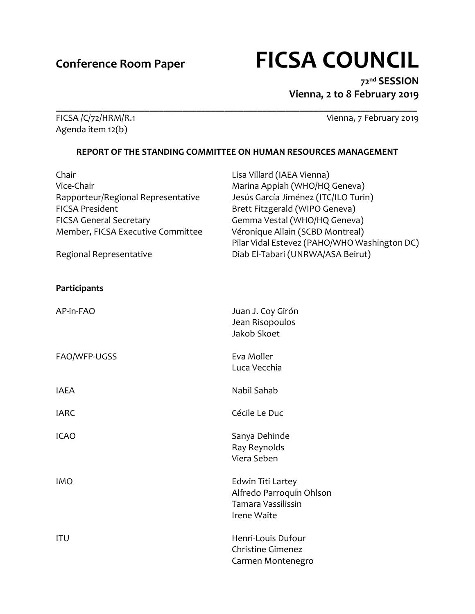# **Conference Room Paper FICSA COUNCIL**

**72 nd SESSION Vienna, 2 to 8 February 2019**

FICSA /C/72/HRM/R.1 Vienna, 7 February 2019 Agenda item 12(b)

#### **REPORT OF THE STANDING COMMITTEE ON HUMAN RESOURCES MANAGEMENT**

**\_\_\_\_\_\_\_\_\_\_\_\_\_\_\_\_\_\_\_\_\_\_\_\_\_\_\_\_\_\_\_\_\_\_\_\_\_\_\_\_\_\_\_\_\_\_\_\_\_\_\_\_\_\_\_\_\_\_\_\_\_\_\_\_\_\_\_\_\_\_\_\_\_\_\_\_\_**

| Lisa Villard (IAEA Vienna)<br>Marina Appiah (WHO/HQ Geneva)<br>Jesús García Jiménez (ITC/ILO Turin)<br>Rapporteur/Regional Representative<br>Brett Fitzgerald (WIPO Geneva)<br>Gemma Vestal (WHO/HQ Geneva)<br>Véronique Allain (SCBD Montreal)<br>Member, FICSA Executive Committee<br>Pilar Vidal Estevez (PAHO/WHO Washington DC)<br>Diab El-Tabari (UNRWA/ASA Beirut) |
|---------------------------------------------------------------------------------------------------------------------------------------------------------------------------------------------------------------------------------------------------------------------------------------------------------------------------------------------------------------------------|
|                                                                                                                                                                                                                                                                                                                                                                           |
| Juan J. Coy Girón<br>Jean Risopoulos<br>Jakob Skoet                                                                                                                                                                                                                                                                                                                       |
| Eva Moller<br>Luca Vecchia                                                                                                                                                                                                                                                                                                                                                |
| Nabil Sahab                                                                                                                                                                                                                                                                                                                                                               |
| Cécile Le Duc                                                                                                                                                                                                                                                                                                                                                             |
| Sanya Dehinde<br>Ray Reynolds<br>Viera Seben                                                                                                                                                                                                                                                                                                                              |
| Edwin Titi Lartey<br>Alfredo Parroquin Ohlson<br>Tamara Vassilissin<br>Irene Waite                                                                                                                                                                                                                                                                                        |
| Henri-Louis Dufour<br><b>Christine Gimenez</b><br>Carmen Montenegro                                                                                                                                                                                                                                                                                                       |
|                                                                                                                                                                                                                                                                                                                                                                           |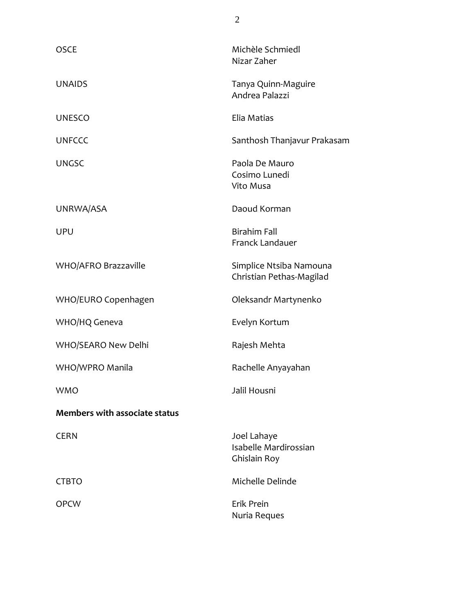| <b>OSCE</b>                          | Michèle Schmiedl<br>Nizar Zaher                      |
|--------------------------------------|------------------------------------------------------|
| <b>UNAIDS</b>                        | Tanya Quinn-Maguire<br>Andrea Palazzi                |
| <b>UNESCO</b>                        | Elia Matias                                          |
| <b>UNFCCC</b>                        | Santhosh Thanjavur Prakasam                          |
| <b>UNGSC</b>                         | Paola De Mauro<br>Cosimo Lunedi<br>Vito Musa         |
| UNRWA/ASA                            | Daoud Korman                                         |
| <b>UPU</b>                           | <b>Birahim Fall</b><br>Franck Landauer               |
| WHO/AFRO Brazzaville                 | Simplice Ntsiba Namouna<br>Christian Pethas-Magilad  |
| WHO/EURO Copenhagen                  | Oleksandr Martynenko                                 |
| WHO/HQ Geneva                        | Evelyn Kortum                                        |
| WHO/SEARO New Delhi                  | Rajesh Mehta                                         |
| WHO/WPRO Manila                      | Rachelle Anyayahan                                   |
| <b>WMO</b>                           | Jalil Housni                                         |
| <b>Members with associate status</b> |                                                      |
| <b>CERN</b>                          | Joel Lahaye<br>Isabelle Mardirossian<br>Ghislain Roy |
| <b>CTBTO</b>                         | Michelle Delinde                                     |
| <b>OPCW</b>                          | Erik Prein<br>Nuria Reques                           |

2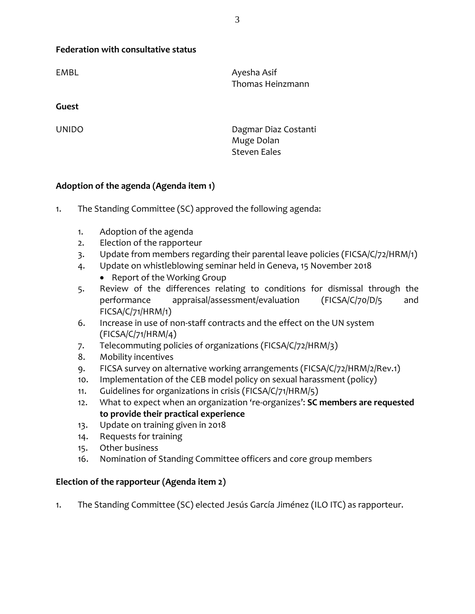#### **Federation with consultative status**

EMBL **Ayesha Asif** Thomas Heinzmann

#### **Guest**

UNIDO Dagmar Diaz Costanti Muge Dolan Steven Eales

#### **Adoption of the agenda (Agenda item 1)**

- 1. The Standing Committee (SC) approved the following agenda:
	- 1. Adoption of the agenda
	- 2. Election of the rapporteur
	- 3. Update from members regarding their parental leave policies (FICSA/C/72/HRM/1)
	- 4. Update on whistleblowing seminar held in Geneva, 15 November 2018
		- Report of the Working Group
	- 5. Review of the differences relating to conditions for dismissal through the performance appraisal/assessment/evaluation (FICSA/C/70/D/5 and FICSA/C/71/HRM/1)
	- 6. Increase in use of non-staff contracts and the effect on the UN system (FICSA/C/71/HRM/4)
	- 7. Telecommuting policies of organizations (FICSA/C/72/HRM/3)
	- 8. Mobility incentives
	- 9. FICSA survey on alternative working arrangements (FICSA/C/72/HRM/2/Rev.1)
	- 10. Implementation of the CEB model policy on sexual harassment (policy)
	- 11. Guidelines for organizations in crisis (FICSA/C/71/HRM/5)
	- 12. What to expect when an organization 're-organizes': **SC members are requested to provide their practical experience**
	- 13. Update on training given in 2018
	- 14. Requests for training
	- 15. Other business
	- 16. Nomination of Standing Committee officers and core group members

#### **Election of the rapporteur (Agenda item 2)**

1. The Standing Committee (SC) elected Jesús García Jiménez (ILO ITC) as rapporteur.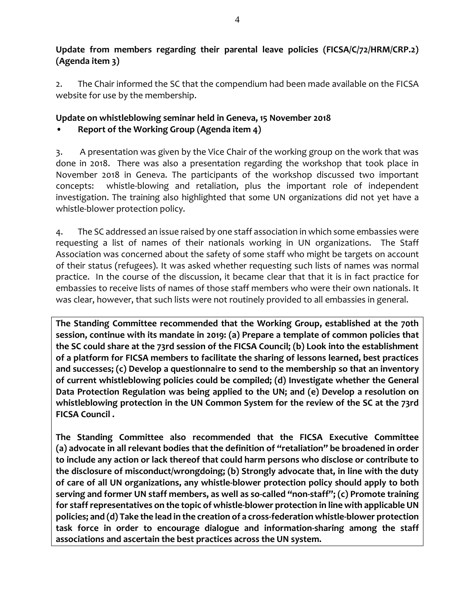#### **Update from members regarding their parental leave policies (FICSA/C/72/HRM/CRP.2) (Agenda item 3)**

2. The Chair informed the SC that the compendium had been made available on the FICSA website for use by the membership.

## **Update on whistleblowing seminar held in Geneva, 15 November 2018**

### **• Report of the Working Group (Agenda item 4)**

3. A presentation was given by the Vice Chair of the working group on the work that was done in 2018. There was also a presentation regarding the workshop that took place in November 2018 in Geneva. The participants of the workshop discussed two important concepts: whistle-blowing and retaliation, plus the important role of independent investigation. The training also highlighted that some UN organizations did not yet have a whistle-blower protection policy.

4. The SC addressed an issue raised by one staff association in which some embassies were requesting a list of names of their nationals working in UN organizations. The Staff Association was concerned about the safety of some staff who might be targets on account of their status (refugees). It was asked whether requesting such lists of names was normal practice. In the course of the discussion, it became clear that that it is in fact practice for embassies to receive lists of names of those staff members who were their own nationals. It was clear, however, that such lists were not routinely provided to all embassies in general.

**The Standing Committee recommended that the Working Group, established at the 70th session, continue with its mandate in 2019: (a) Prepare a template of common policies that the SC could share at the 73rd session of the FICSA Council; (b) Look into the establishment of a platform for FICSA members to facilitate the sharing of lessons learned, best practices and successes; (c) Develop a questionnaire to send to the membership so that an inventory of current whistleblowing policies could be compiled; (d) Investigate whether the General Data Protection Regulation was being applied to the UN; and (e) Develop a resolution on whistleblowing protection in the UN Common System for the review of the SC at the 73rd FICSA Council .**

**The Standing Committee also recommended that the FICSA Executive Committee (a) advocate in all relevant bodies that the definition of "retaliation" be broadened in order to include any action or lack thereof that could harm persons who disclose or contribute to the disclosure of misconduct/wrongdoing; (b) Strongly advocate that, in line with the duty of care of all UN organizations, any whistle-blower protection policy should apply to both serving and former UN staff members, as well as so-called "non-staff"; (c) Promote training for staff representatives on the topic of whistle-blower protection in line with applicable UN policies; and (d) Take the lead in the creation of a cross-federation whistle-blower protection task force in order to encourage dialogue and information-sharing among the staff associations and ascertain the best practices across the UN system.**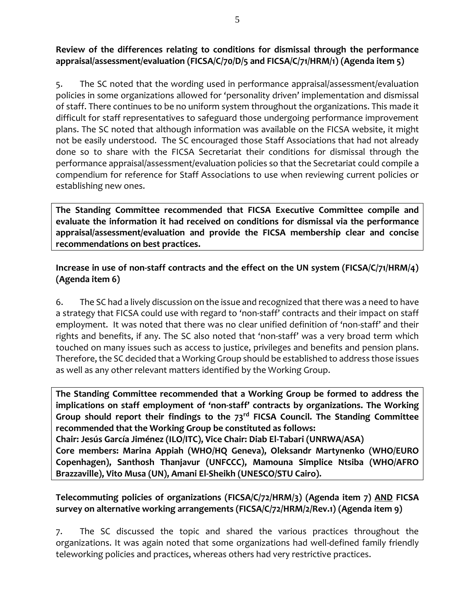**Review of the differences relating to conditions for dismissal through the performance appraisal/assessment/evaluation (FICSA/C/70/D/5 and FICSA/C/71/HRM/1) (Agenda item 5)**

5. The SC noted that the wording used in performance appraisal/assessment/evaluation policies in some organizations allowed for 'personality driven' implementation and dismissal of staff. There continues to be no uniform system throughout the organizations. This made it difficult for staff representatives to safeguard those undergoing performance improvement plans. The SC noted that although information was available on the FICSA website, it might not be easily understood. The SC encouraged those Staff Associations that had not already done so to share with the FICSA Secretariat their conditions for dismissal through the performance appraisal/assessment/evaluation policies so that the Secretariat could compile a compendium for reference for Staff Associations to use when reviewing current policies or establishing new ones.

**The Standing Committee recommended that FICSA Executive Committee compile and evaluate the information it had received on conditions for dismissal via the performance appraisal/assessment/evaluation and provide the FICSA membership clear and concise recommendations on best practices.**

#### **Increase in use of non-staff contracts and the effect on the UN system (FICSA/C/71/HRM/4) (Agenda item 6)**

6. The SC had a lively discussion on the issue and recognized that there was a need to have a strategy that FICSA could use with regard to 'non-staff' contracts and their impact on staff employment. It was noted that there was no clear unified definition of 'non-staff' and their rights and benefits, if any. The SC also noted that 'non-staff' was a very broad term which touched on many issues such as access to justice, privileges and benefits and pension plans. Therefore, the SC decided that a Working Group should be established to address those issues as well as any other relevant matters identified by the Working Group.

**The Standing Committee recommended that a Working Group be formed to address the implications on staff employment of 'non-staff' contracts by organizations. The Working Group should report their findings to the 73rd FICSA Council. The Standing Committee recommended that the Working Group be constituted as follows: Chair: Jesús García Jiménez (ILO/ITC), Vice Chair: Diab El-Tabari (UNRWA/ASA)**

**Core members: Marina Appiah (WHO/HQ Geneva), Oleksandr Martynenko (WHO/EURO Copenhagen), Santhosh Thanjavur (UNFCCC), Mamouna Simplice Ntsiba (WHO/AFRO Brazzaville), Vito Musa (UN), Amani El-Sheikh (UNESCO/STU Cairo).**

#### **Telecommuting policies of organizations (FICSA/C/72/HRM/3) (Agenda item 7) AND FICSA survey on alternative working arrangements (FICSA/C/72/HRM/2/Rev.1) (Agenda item 9)**

7. The SC discussed the topic and shared the various practices throughout the organizations. It was again noted that some organizations had well-defined family friendly teleworking policies and practices, whereas others had very restrictive practices.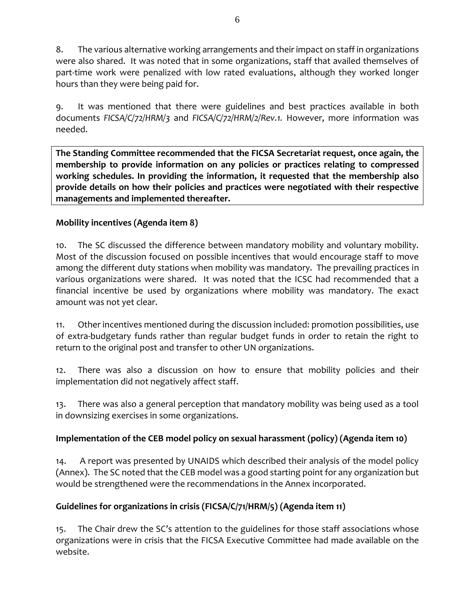8. The various alternative working arrangements and their impact on staff in organizations were also shared. It was noted that in some organizations, staff that availed themselves of part-time work were penalized with low rated evaluations, although they worked longer hours than they were being paid for.

9. It was mentioned that there were guidelines and best practices available in both documents *FICSA/C/72/HRM/3* and *FICSA/C/72/HRM/2/Rev.1.* However, more information was needed.

**The Standing Committee recommended that the FICSA Secretariat request, once again, the membership to provide information on any policies or practices relating to compressed working schedules. In providing the information, it requested that the membership also provide details on how their policies and practices were negotiated with their respective managements and implemented thereafter.**

#### **Mobility incentives (Agenda item 8)**

10. The SC discussed the difference between mandatory mobility and voluntary mobility. Most of the discussion focused on possible incentives that would encourage staff to move among the different duty stations when mobility was mandatory. The prevailing practices in various organizations were shared. It was noted that the ICSC had recommended that a financial incentive be used by organizations where mobility was mandatory. The exact amount was not yet clear.

11. Other incentives mentioned during the discussion included: promotion possibilities, use of extra-budgetary funds rather than regular budget funds in order to retain the right to return to the original post and transfer to other UN organizations.

12. There was also a discussion on how to ensure that mobility policies and their implementation did not negatively affect staff.

13. There was also a general perception that mandatory mobility was being used as a tool in downsizing exercises in some organizations.

#### **Implementation of the CEB model policy on sexual harassment (policy) (Agenda item 10)**

14. A report was presented by UNAIDS which described their analysis of the model policy (Annex). The SC noted that the CEB model was a good starting point for any organization but would be strengthened were the recommendations in the Annex incorporated.

#### **Guidelines for organizations in crisis (FICSA/C/71/HRM/5) (Agenda item 11)**

15. The Chair drew the SC's attention to the guidelines for those staff associations whose organizations were in crisis that the FICSA Executive Committee had made available on the website.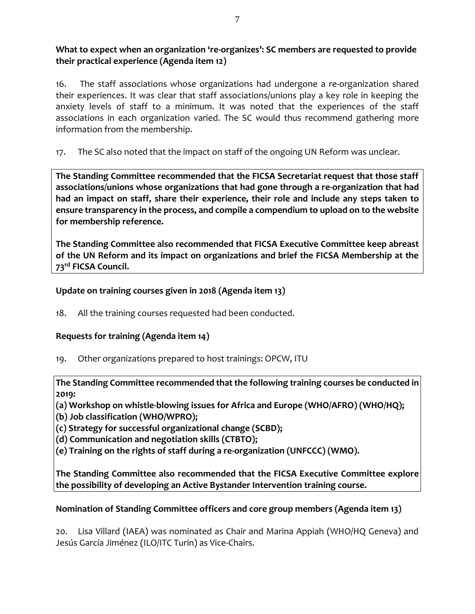**What to expect when an organization 're-organizes': SC members are requested to provide their practical experience (Agenda item 12)**

16. The staff associations whose organizations had undergone a re-organization shared their experiences. It was clear that staff associations/unions play a key role in keeping the anxiety levels of staff to a minimum. It was noted that the experiences of the staff associations in each organization varied. The SC would thus recommend gathering more information from the membership.

17. The SC also noted that the impact on staff of the ongoing UN Reform was unclear.

**The Standing Committee recommended that the FICSA Secretariat request that those staff associations/unions whose organizations that had gone through a re-organization that had had an impact on staff, share their experience, their role and include any steps taken to ensure transparency in the process, and compile a compendium to upload on to the website for membership reference.** 

**The Standing Committee also recommended that FICSA Executive Committee keep abreast of the UN Reform and its impact on organizations and brief the FICSA Membership at the 73rd FICSA Council.**

#### **Update on training courses given in 2018 (Agenda item 13)**

18. All the training courses requested had been conducted.

#### **Requests for training (Agenda item 14)**

19. Other organizations prepared to host trainings: OPCW, ITU

**The Standing Committee recommended that the following training courses be conducted in 2019:** 

- **(a) Workshop on whistle-blowing issues for Africa and Europe (WHO/AFRO) (WHO/HQ);**
- **(b) Job classification (WHO/WPRO);**
- **(c) Strategy for successful organizational change (SCBD);**
- **(d) Communication and negotiation skills (CTBTO);**
- **(e) Training on the rights of staff during a re-organization (UNFCCC) (WMO).**

**The Standing Committee also recommended that the FICSA Executive Committee explore the possibility of developing an Active Bystander Intervention training course.**

#### **Nomination of Standing Committee officers and core group members (Agenda item 13)**

20. Lisa Villard (IAEA) was nominated as Chair and Marina Appiah (WHO/HQ Geneva) and Jesús García Jiménez (ILO/ITC Turin) as Vice-Chairs.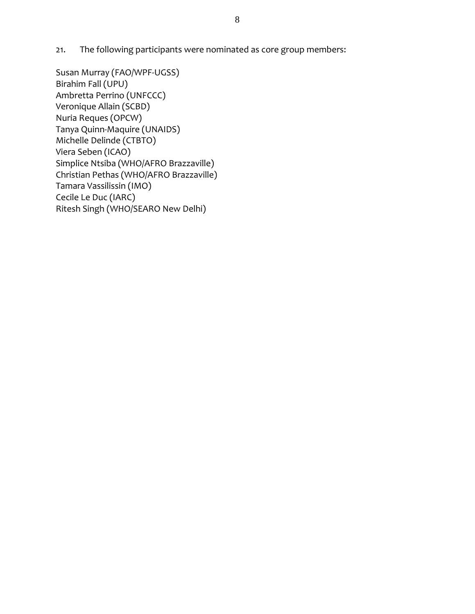21. The following participants were nominated as core group members:

Susan Murray (FAO/WPF-UGSS) Birahim Fall (UPU) Ambretta Perrino (UNFCCC) Veronique Allain (SCBD) Nuria Reques (OPCW) Tanya Quinn-Maquire (UNAIDS) Michelle Delinde (CTBTO) Viera Seben (ICAO) Simplice Ntsiba (WHO/AFRO Brazzaville) Christian Pethas (WHO/AFRO Brazzaville) Tamara Vassilissin (IMO) Cecile Le Duc (IARC) Ritesh Singh (WHO/SEARO New Delhi)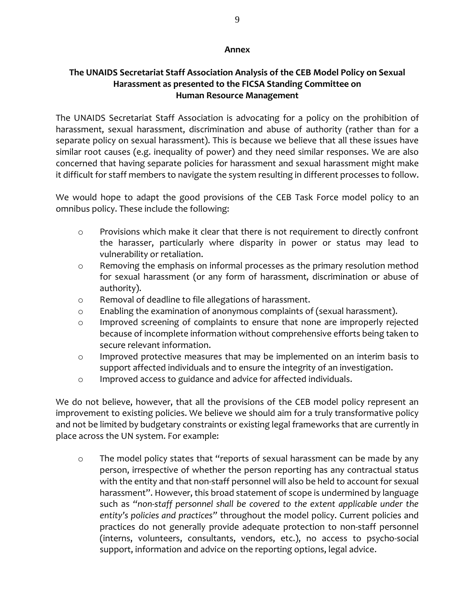#### **Annex**

#### **The UNAIDS Secretariat Staff Association Analysis of the CEB Model Policy on Sexual Harassment as presented to the FICSA Standing Committee on Human Resource Management**

The UNAIDS Secretariat Staff Association is advocating for a policy on the prohibition of harassment, sexual harassment, discrimination and abuse of authority (rather than for a separate policy on sexual harassment). This is because we believe that all these issues have similar root causes (e.g. inequality of power) and they need similar responses. We are also concerned that having separate policies for harassment and sexual harassment might make it difficult for staff members to navigate the system resulting in different processes to follow.

We would hope to adapt the good provisions of the CEB Task Force model policy to an omnibus policy. These include the following:

- $\circ$  Provisions which make it clear that there is not requirement to directly confront the harasser, particularly where disparity in power or status may lead to vulnerability or retaliation.
- o Removing the emphasis on informal processes as the primary resolution method for sexual harassment (or any form of harassment, discrimination or abuse of authority).
- o Removal of deadline to file allegations of harassment.
- o Enabling the examination of anonymous complaints of (sexual harassment).
- o Improved screening of complaints to ensure that none are improperly rejected because of incomplete information without comprehensive efforts being taken to secure relevant information.
- o Improved protective measures that may be implemented on an interim basis to support affected individuals and to ensure the integrity of an investigation.
- o Improved access to guidance and advice for affected individuals.

We do not believe, however, that all the provisions of the CEB model policy represent an improvement to existing policies. We believe we should aim for a truly transformative policy and not be limited by budgetary constraints or existing legal frameworks that are currently in place across the UN system. For example:

o The model policy states that "reports of sexual harassment can be made by any person, irrespective of whether the person reporting has any contractual status with the entity and that non-staff personnel will also be held to account for sexual harassment". However, this broad statement of scope is undermined by language such as *"non-staff personnel shall be covered to the extent applicable under the entity's policies and practices"* throughout the model policy. Current policies and practices do not generally provide adequate protection to non-staff personnel (interns, volunteers, consultants, vendors, etc.), no access to psycho-social support, information and advice on the reporting options, legal advice.